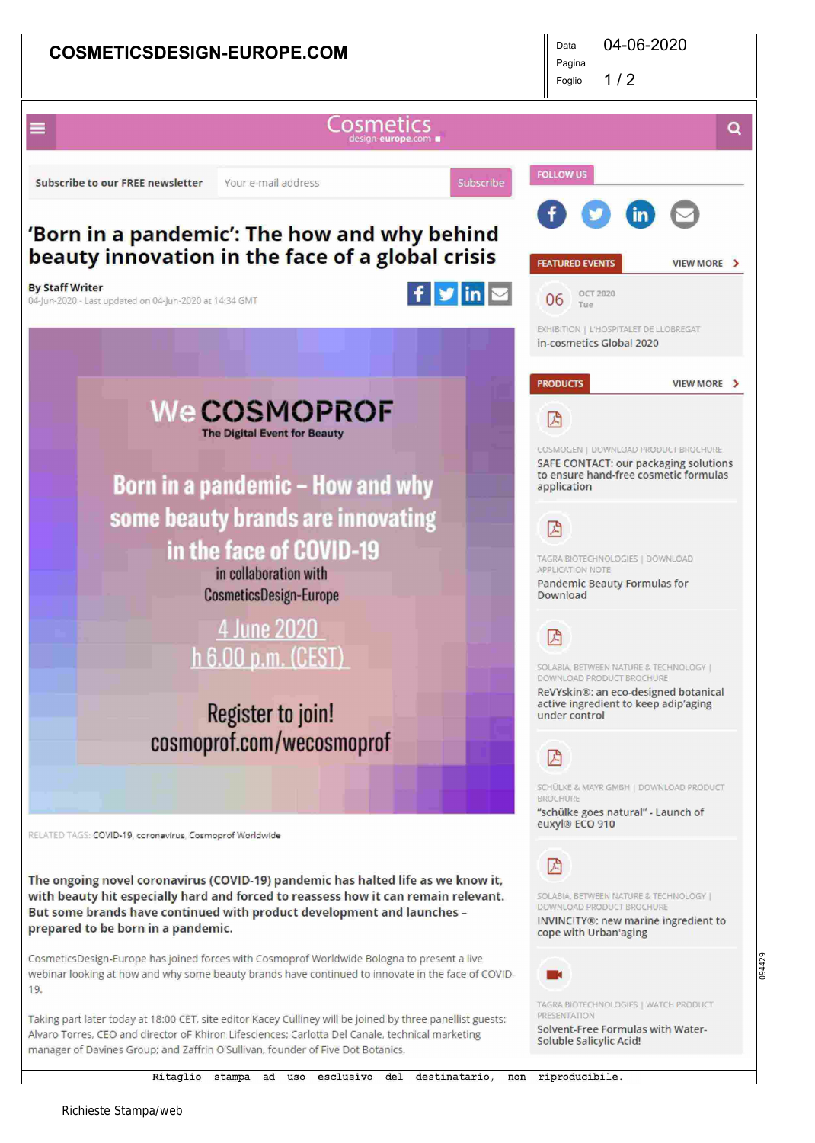